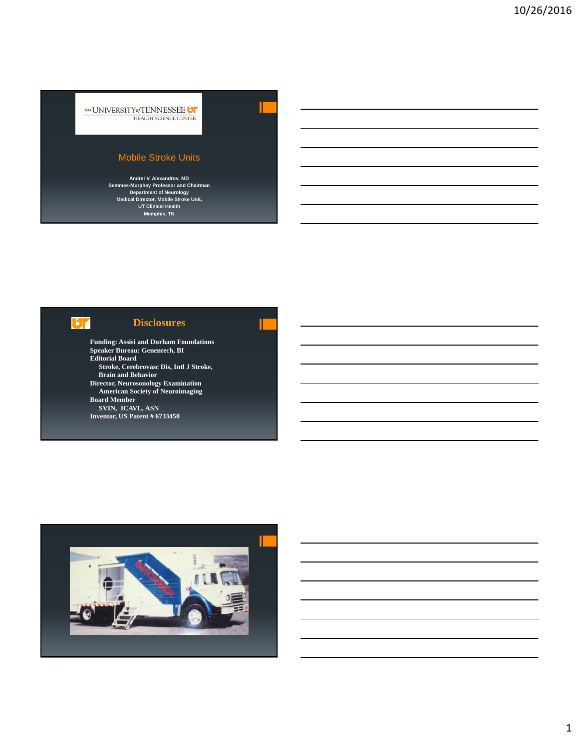THE UNIVERSITY of TENNESSEE U HEALTH SCIENCE CENTER

### Mobile Stroke Units

**Andrei V. Alexandrov, MD Semmes-Murphey Professor and Chairman Department of Neurology Medical Director, Mobile Stroke Unit, UT Clinical Health Memphis, TN**

# **LT**

## **Disclosures**

**Funding: Assisi and Durham Foundations Speaker Bureau: Genentech, BI Editorial Board Stroke, Cerebrovasc Dis, Intl J Stroke, Brain and Behavior Director, Neurosonology Examination American Society of Neuroimaging Board Member SVIN, ICAVL, ASN Inventor, US Patent # 6733450**

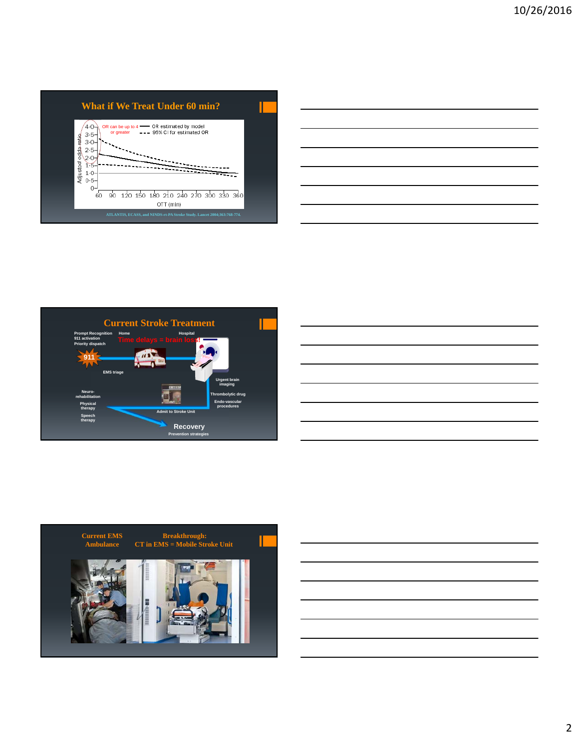







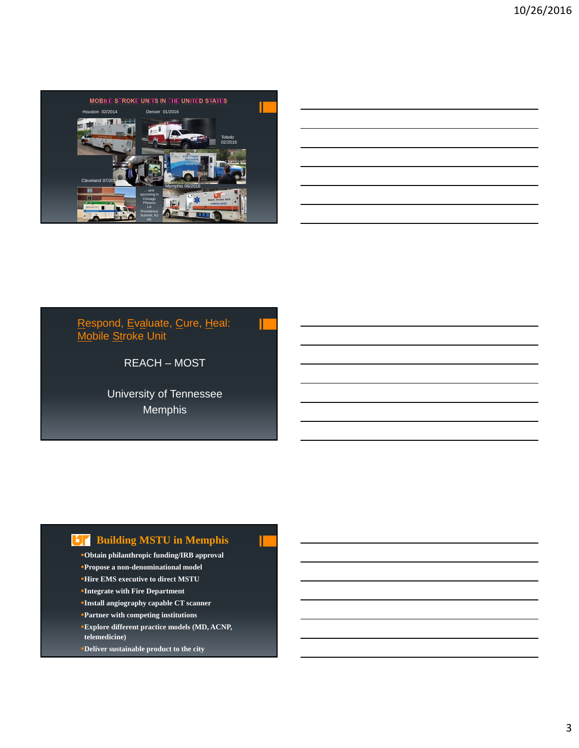

## Respond, Ev<u>a</u>luate, Cure, Heal: <u>Mo</u>bile <u>St</u>roke Unit

REACH – MOST

University of Tennessee Memphis

# **Example 3 Building MSTU in Memphis**

- **Obtain philanthropic funding/IRB approval**
- **Propose a non-denominational model**
- **Hire EMS executive to direct MSTU**
- **Integrate with Fire Department**
- **Install angiography capable CT scanner**
- **Partner with competing institutions**
- **Explore different practice models (MD, ACNP, telemedicine)**
- **Deliver sustainable product to the city**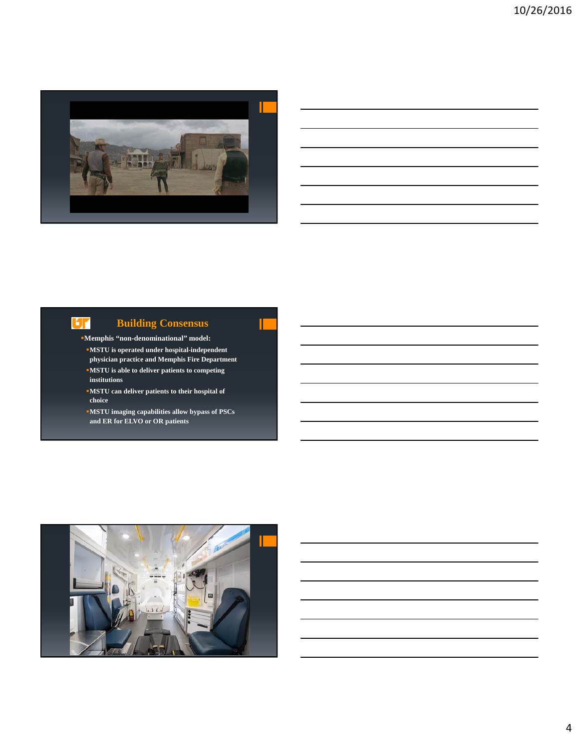

## **Building Consensus**

**Memphis "non-denominational" model:**

UГ

- **MSTU is operated under hospital-independent physician practice and Memphis Fire Department MSTU is able to deliver patients to competing institutions**
- **MSTU can deliver patients to their hospital of choice**
- **MSTU imaging capabilities allow bypass of PSCs and ER for ELVO or OR patients**

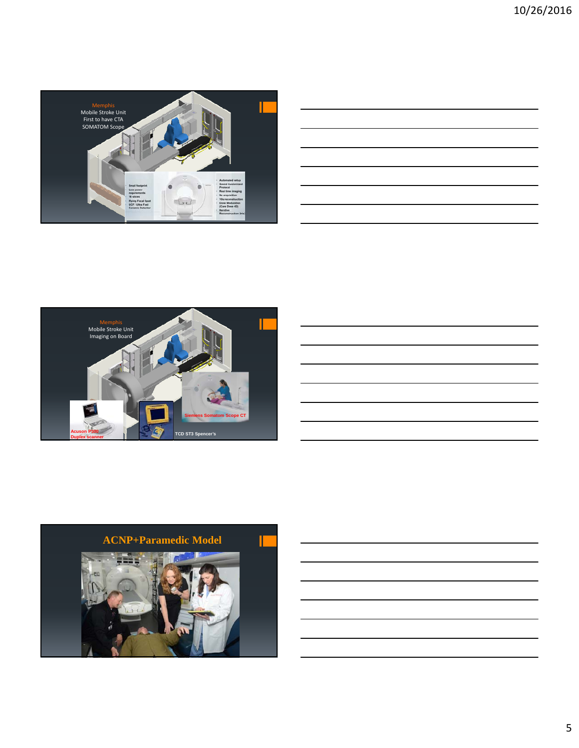

| ,我们也不会有什么?""我们的人,我们也不会有什么?""我们的人,我们也不会有什么?""我们的人,我们也不会有什么?""我们的人,我们也不会有什么?""我们的人 |  |  |
|----------------------------------------------------------------------------------|--|--|
| ,我们也不会有什么?""我们的人,我们也不会有什么?""我们的人,我们也不会有什么?""我们的人,我们也不会有什么?""我们的人,我们也不会有什么?""我们的人 |  |  |
|                                                                                  |  |  |
|                                                                                  |  |  |
|                                                                                  |  |  |



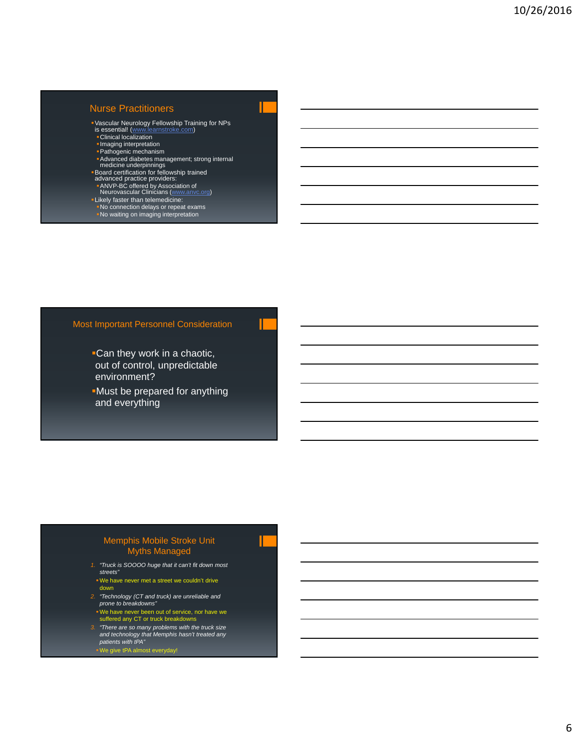#### Nurse Practitioners

- Vascular Neurology Fellowship Training for NPs<br>is essential! (<u>www.learnstroke.com</u>)<br>■ Clinical localization
- 
- **Imaging interpretation**
- Pathogenic mechanism
- **Advanced diabetes management; strong internal<br>
medicine underpinnings<br>
Board certification for fellowship trained<br>
advanced practice providers:<br>
ANVP-BC offered by Association of<br>
Neurovascular Clinicians (www.anvc.org)**
- 
- 
- **Likely faster than telemedicine:**
- 
- No connection delays or repeat exams No waiting on imaging interpretation

#### Most Important Personnel Consideration

- Can they work in a chaotic, out of control, unpredictable environment?
- Must be prepared for anything and everything

#### Memphis Mobile Stroke Unit Myths Managed

- *1. "Truck is SOOOO huge that it can't fit down most streets"*
- We have never met a street we couldn't drive down
- *2. "Technology (CT and truck) are unreliable and prone to breakdowns"*
- We have never been out of service, nor have we suffered any CT or truck breakdowns
- *3. "There are so many problems with the truck size and technology that Memphis hasn't treated any patients with tPA"*
- We give tPA almost everyday!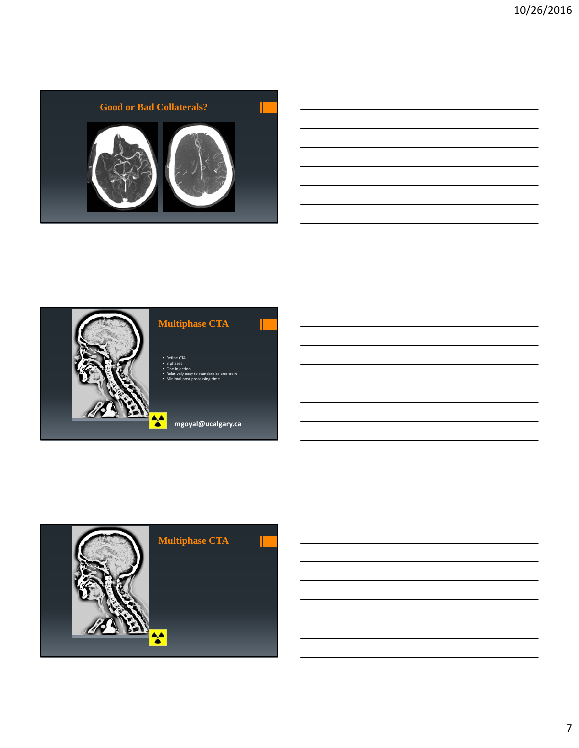

| <u> 1989 - Johann Stoff, amerikansk politiker (d. 1989)</u> |  |  |
|-------------------------------------------------------------|--|--|
|                                                             |  |  |
|                                                             |  |  |
|                                                             |  |  |



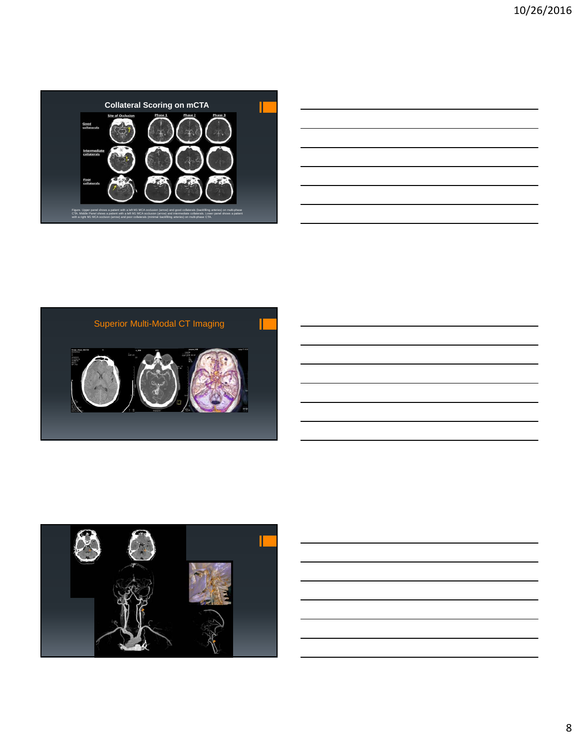

| <u> 1989 - Johann Harry Harry Harry Harry Harry Harry Harry Harry Harry Harry Harry Harry Harry Harry Harry Harry</u>  |  |  |  |
|------------------------------------------------------------------------------------------------------------------------|--|--|--|
|                                                                                                                        |  |  |  |
|                                                                                                                        |  |  |  |
| <u> Alexandro de la contrada de la contrada de la contrada de la contrada de la contrada de la contrada de la con</u>  |  |  |  |
| <u> 1988 - Johann Stoff, deutscher Stoffen und der Stoffen und der Stoffen und der Stoffen und der Stoffen und der</u> |  |  |  |
| <u> Alexandro de la contrada de la contrada de la contrada de la contrada de la contrada de la contrada de la co</u>   |  |  |  |
| <u> 1989 - Andrea Santana (b. 1989)</u>                                                                                |  |  |  |
|                                                                                                                        |  |  |  |

<u> 1989 - Johann Barbara, martxa a</u>

 $\overline{\phantom{0}}$ 



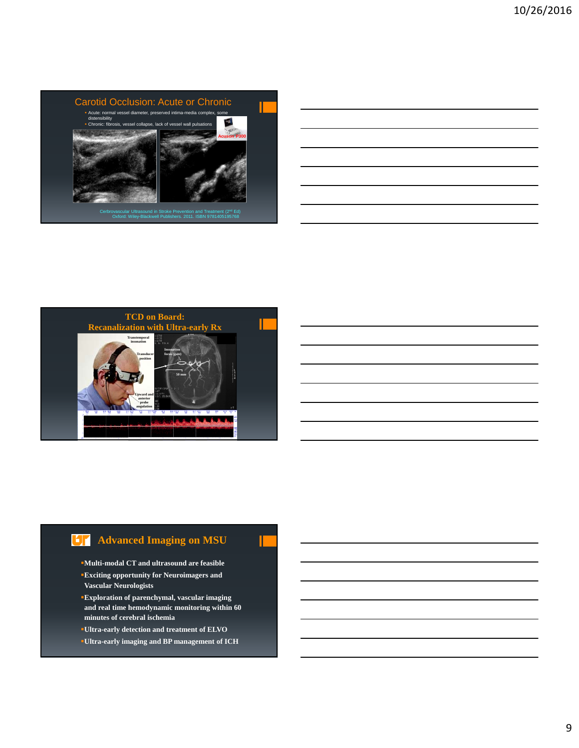



# **Advanced Imaging on MSU**

- **Multi-modal CT and ultrasound are feasible**
- **Exciting opportunity for Neuroimagers and Vascular Neurologists**
- **Exploration of parenchymal, vascular imaging and real time hemodynamic monitoring within 60 minutes of cerebral ischemia**
- **Ultra-early detection and treatment of ELVO**
- **Ultra-early imaging and BP management of ICH**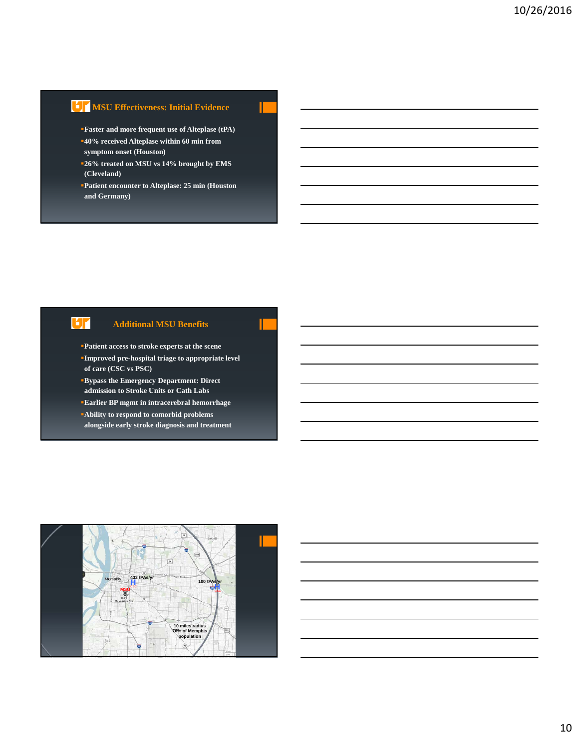## **MSU Effectiveness: Initial Evidence**

- **Faster and more frequent use of Alteplase (tPA) 40% received Alteplase within 60 min from**
- **symptom onset (Houston)**
- **26% treated on MSU vs 14% brought by EMS (Cleveland)**
- **Patient encounter to Alteplase: 25 min (Houston and Germany)**

## UГ

#### **Additional MSU Benefits**

- **Patient access to stroke experts at the scene**
- **Improved pre-hospital triage to appropriate level of care (CSC vs PSC)**
- **Bypass the Emergency Department: Direct admission to Stroke Units or Cath Labs**
- **Earlier BP mgmt in intracerebral hemorrhage**
- **Ability to respond to comorbid problems alongside early stroke diagnosis and treatment**